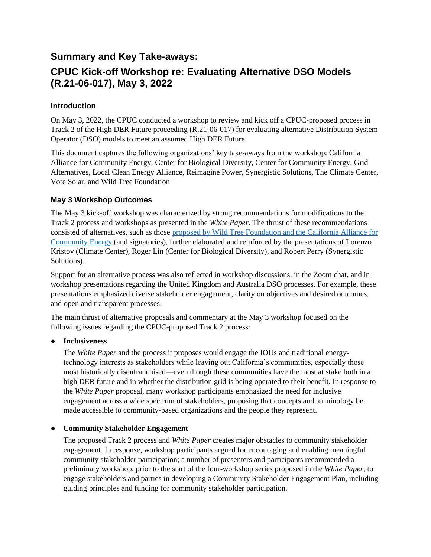## **Summary and Key Take-aways:**

# **CPUC Kick-off Workshop re: Evaluating Alternative DSO Models (R.21-06-017), May 3, 2022**

## **Introduction**

On May 3, 2022, the CPUC conducted a workshop to review and kick off a CPUC-proposed process in Track 2 of the High DER Future proceeding (R.21-06-017) for evaluating alternative Distribution System Operator (DSO) models to meet an assumed High DER Future.

This document captures the following organizations' key take-aways from the workshop: California Alliance for Community Energy, Center for Biological Diversity, Center for Community Energy, Grid Alternatives, Local Clean Energy Alliance, Reimagine Power, Synergistic Solutions, The Climate Center, Vote Solar, and Wild Tree Foundation

## **May 3 Workshop Outcomes**

The May 3 kick-off workshop was characterized by strong recommendations for modifications to the Track 2 process and workshops as presented in the *White Paper*. The thrust of these recommendations consisted of alternatives, such as those proposed by Wild Tree Foundation and the California Alliance for Community Energy (and signatories), further elaborated and reinforced by the presentations of Lorenzo Kristov (Climate Center), Roger Lin (Center for Biological Diversity), and Robert Perry (Synergistic Solutions).

Support for an alternative process was also reflected in workshop discussions, in the Zoom chat, and in workshop presentations regarding the United Kingdom and Australia DSO processes. For example, these presentations emphasized diverse stakeholder engagement, clarity on objectives and desired outcomes, and open and transparent processes.

The main thrust of alternative proposals and commentary at the May 3 workshop focused on the following issues regarding the CPUC-proposed Track 2 process:

## ● **Inclusiveness**

The *White Paper* and the process it proposes would engage the IOUs and traditional energytechnology interests as stakeholders while leaving out California's communities, especially those most historically disenfranchised—even though these communities have the most at stake both in a high DER future and in whether the distribution grid is being operated to their benefit. In response to the *White Paper* proposal, many workshop participants emphasized the need for inclusive engagement across a wide spectrum of stakeholders, proposing that concepts and terminology be made accessible to community-based organizations and the people they represent.

## ● **Community Stakeholder Engagement**

The proposed Track 2 process and *White Paper* creates major obstacles to community stakeholder engagement. In response, workshop participants argued for encouraging and enabling meaningful community stakeholder participation; a number of presenters and participants recommended a preliminary workshop, prior to the start of the four-workshop series proposed in the *White Paper*, to engage stakeholders and parties in developing a Community Stakeholder Engagement Plan, including guiding principles and funding for community stakeholder participation.